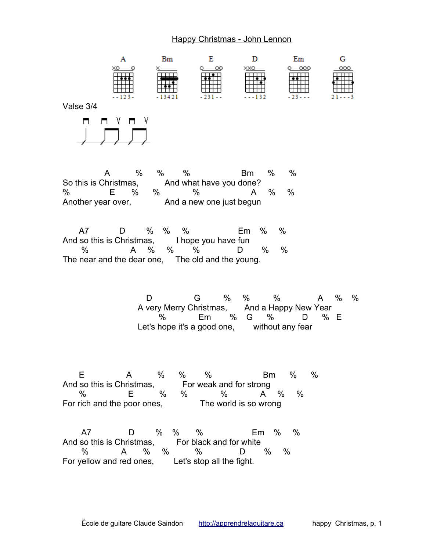## Happy Christmas - John Lennon



Valse 3/4



 A % % % Bm % % So this is Christmas,  $\begin{array}{ccc} \text{M} & \text{M} & \text{M} \\ \text{M} & \text{M} & \text{M} \\ \text{M} & \text{M} & \text{M} \\ \text{M} & \text{M} & \text{M} \end{array}$ % E % % % A % % Another year over, **And a new one just begun** 

 A7 D % % % Em % % And so this is Christmas, I hope you have fun % A % % % D % % The near and the dear one, The old and the young.

 D G % % % A % % A very Merry Christmas, And a Happy New Year % Em % G % D % E Let's hope it's a good one, without any fear

 E A % % % Bm % % And so this is Christmas, For weak and for strong % E % % % A % % For rich and the poor ones, The world is so wrong

 A7 D % % % Em % % And so this is Christmas, For black and for white % A % % % D % % For yellow and red ones, Let's stop all the fight.